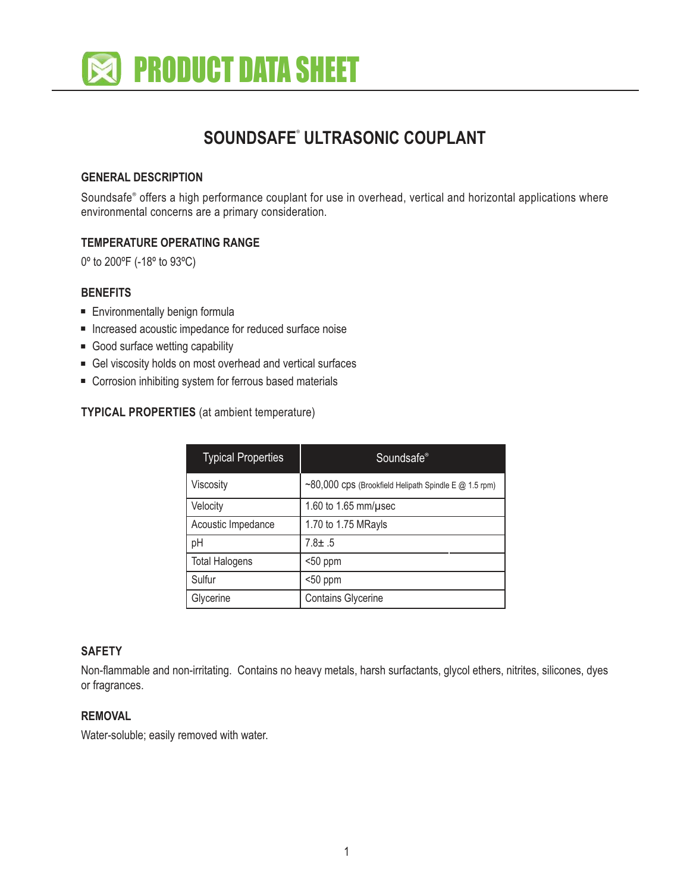

# **SOUNDSAFE**<sup>7</sup> **ULTRASONIC COUPLANT**

## **GENERAL DESCRIPTION**

Soundsafe<sup>®</sup> offers a high performance couplant for use in overhead, vertical and horizontal applications where environmental concerns are a primary consideration.

#### **TEMPERATURE OPERATING RANGE**

0º to 200ºF (-18º to 93ºC)

## **BENEFITS**

- Environmentally benign formula
- Increased acoustic impedance for reduced surface noise
- Good surface wetting capability
- Gel viscosity holds on most overhead and vertical surfaces
- Corrosion inhibiting system for ferrous based materials

#### **TYPICAL PROPERTIES** (at ambient temperature)

| <b>Typical Properties</b> | Soundsafe <sup>®</sup>                                      |
|---------------------------|-------------------------------------------------------------|
| Viscosity                 | $\sim$ 80,000 CDS (Brookfield Helipath Spindle E @ 1.5 rpm) |
| Velocity                  | 1.60 to 1.65 mm/ $\mu$ sec                                  |
| Acoustic Impedance        | 1.70 to 1.75 MRayls                                         |
| pH                        | $7.8 \pm .5$                                                |
| <b>Total Halogens</b>     | $50$ ppm                                                    |
| Sulfur                    | $50$ ppm                                                    |
| Glycerine                 | <b>Contains Glycerine</b>                                   |

# **SAFETY**

Non-flammable and non-irritating. Contains no heavy metals, harsh surfactants, glycol ethers, nitrites, silicones, dyes or fragrances.

#### **REMOVAL**

Water-soluble; easily removed with water.